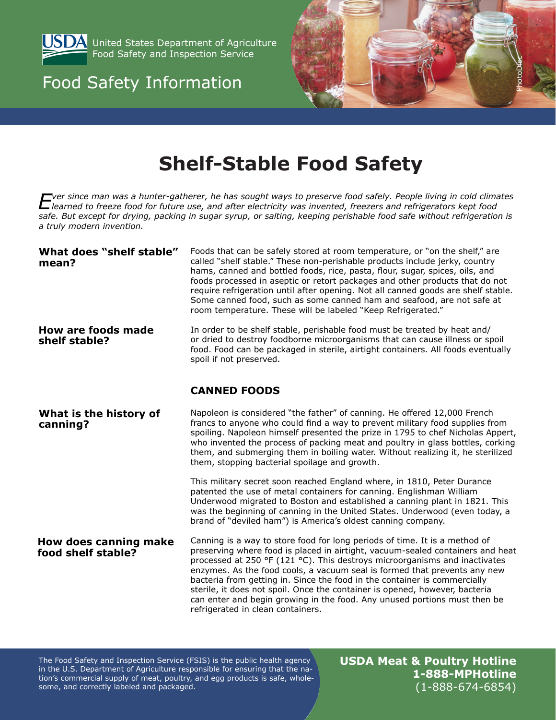

**SDA** United States Department of Agriculture Food Safety and Inspection Service

## Food Safety Information



# **Shelf-Stable Food Safety**

Extra since man was a hunter-gatherer, he has sought ways to preserve food safely. People living in cold climates<br>Learned to freeze food for future use, and after electricity was invented, freezers and refrigerators kept f *safe. But except for drying, packing in sugar syrup, or salting, keeping perishable food safe without refrigeration is a truly modern invention.*

| What does "shelf stable"<br>mean?                  | Foods that can be safely stored at room temperature, or "on the shelf," are<br>called "shelf stable." These non-perishable products include jerky, country<br>hams, canned and bottled foods, rice, pasta, flour, sugar, spices, oils, and<br>foods processed in aseptic or retort packages and other products that do not<br>require refrigeration until after opening. Not all canned goods are shelf stable.<br>Some canned food, such as some canned ham and seafood, are not safe at<br>room temperature. These will be labeled "Keep Refrigerated."                                                                     |
|----------------------------------------------------|-------------------------------------------------------------------------------------------------------------------------------------------------------------------------------------------------------------------------------------------------------------------------------------------------------------------------------------------------------------------------------------------------------------------------------------------------------------------------------------------------------------------------------------------------------------------------------------------------------------------------------|
| <b>How are foods made</b><br>shelf stable?         | In order to be shelf stable, perishable food must be treated by heat and/<br>or dried to destroy foodborne microorganisms that can cause illness or spoil<br>food. Food can be packaged in sterile, airtight containers. All foods eventually<br>spoil if not preserved.                                                                                                                                                                                                                                                                                                                                                      |
|                                                    | <b>CANNED FOODS</b>                                                                                                                                                                                                                                                                                                                                                                                                                                                                                                                                                                                                           |
| What is the history of<br>canning?                 | Napoleon is considered "the father" of canning. He offered 12,000 French<br>francs to anyone who could find a way to prevent military food supplies from<br>spoiling. Napoleon himself presented the prize in 1795 to chef Nicholas Appert,<br>who invented the process of packing meat and poultry in glass bottles, corking<br>them, and submerging them in boiling water. Without realizing it, he sterilized<br>them, stopping bacterial spoilage and growth.                                                                                                                                                             |
|                                                    | This military secret soon reached England where, in 1810, Peter Durance<br>patented the use of metal containers for canning. Englishman William<br>Underwood migrated to Boston and established a canning plant in 1821. This<br>was the beginning of canning in the United States. Underwood (even today, a<br>brand of "deviled ham") is America's oldest canning company.                                                                                                                                                                                                                                                  |
| <b>How does canning make</b><br>food shelf stable? | Canning is a way to store food for long periods of time. It is a method of<br>preserving where food is placed in airtight, vacuum-sealed containers and heat<br>processed at 250 $\textdegree$ (121 $\textdegree$ C). This destroys microorganisms and inactivates<br>enzymes. As the food cools, a vacuum seal is formed that prevents any new<br>bacteria from getting in. Since the food in the container is commercially<br>sterile, it does not spoil. Once the container is opened, however, bacteria<br>can enter and begin growing in the food. Any unused portions must then be<br>refrigerated in clean containers. |

The Food Safety and Inspection Service (FSIS) is the public health agency in the U.S. Department of Agriculture responsible for ensuring that the nation's commercial supply of meat, poultry, and egg products is safe, wholesome, and correctly labeled and packaged.

**USDA Meat & Poultry Hotline 1-888-MPHotline** (1-888-674-6854)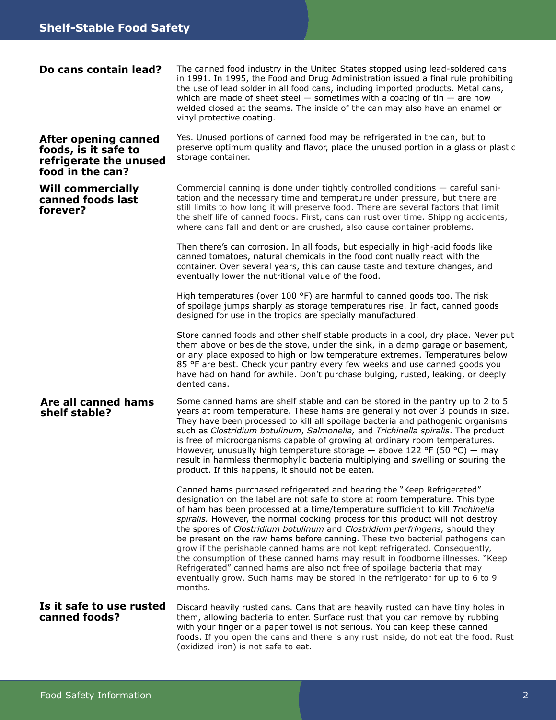| Do cans contain lead?                                                                      | The canned food industry in the United States stopped using lead-soldered cans<br>in 1991. In 1995, the Food and Drug Administration issued a final rule prohibiting<br>the use of lead solder in all food cans, including imported products. Metal cans,<br>which are made of sheet steel $-$ sometimes with a coating of tin $-$ are now<br>welded closed at the seams. The inside of the can may also have an enamel or<br>vinyl protective coating.                                                                                                                                                                                                                                                                                                                                                                               |
|--------------------------------------------------------------------------------------------|---------------------------------------------------------------------------------------------------------------------------------------------------------------------------------------------------------------------------------------------------------------------------------------------------------------------------------------------------------------------------------------------------------------------------------------------------------------------------------------------------------------------------------------------------------------------------------------------------------------------------------------------------------------------------------------------------------------------------------------------------------------------------------------------------------------------------------------|
| After opening canned<br>foods, is it safe to<br>refrigerate the unused<br>food in the can? | Yes. Unused portions of canned food may be refrigerated in the can, but to<br>preserve optimum quality and flavor, place the unused portion in a glass or plastic<br>storage container.                                                                                                                                                                                                                                                                                                                                                                                                                                                                                                                                                                                                                                               |
| <b>Will commercially</b><br>canned foods last<br>forever?                                  | Commercial canning is done under tightly controlled conditions - careful sani-<br>tation and the necessary time and temperature under pressure, but there are<br>still limits to how long it will preserve food. There are several factors that limit<br>the shelf life of canned foods. First, cans can rust over time. Shipping accidents,<br>where cans fall and dent or are crushed, also cause container problems.                                                                                                                                                                                                                                                                                                                                                                                                               |
|                                                                                            | Then there's can corrosion. In all foods, but especially in high-acid foods like<br>canned tomatoes, natural chemicals in the food continually react with the<br>container. Over several years, this can cause taste and texture changes, and<br>eventually lower the nutritional value of the food.                                                                                                                                                                                                                                                                                                                                                                                                                                                                                                                                  |
|                                                                                            | High temperatures (over 100 $\textdegree$ F) are harmful to canned goods too. The risk<br>of spoilage jumps sharply as storage temperatures rise. In fact, canned goods<br>designed for use in the tropics are specially manufactured.                                                                                                                                                                                                                                                                                                                                                                                                                                                                                                                                                                                                |
|                                                                                            | Store canned foods and other shelf stable products in a cool, dry place. Never put<br>them above or beside the stove, under the sink, in a damp garage or basement,<br>or any place exposed to high or low temperature extremes. Temperatures below<br>85 °F are best. Check your pantry every few weeks and use canned goods you<br>have had on hand for awhile. Don't purchase bulging, rusted, leaking, or deeply<br>dented cans.                                                                                                                                                                                                                                                                                                                                                                                                  |
| Are all canned hams<br>shelf stable?                                                       | Some canned hams are shelf stable and can be stored in the pantry up to 2 to 5<br>years at room temperature. These hams are generally not over 3 pounds in size.<br>They have been processed to kill all spoilage bacteria and pathogenic organisms<br>such as Clostridium botulinum, Salmonella, and Trichinella spiralis. The product<br>is free of microorganisms capable of growing at ordinary room temperatures.<br>However, unusually high temperature storage - above 122 °F (50 °C) - may<br>result in harmless thermophylic bacteria multiplying and swelling or souring the<br>product. If this happens, it should not be eaten.                                                                                                                                                                                           |
|                                                                                            | Canned hams purchased refrigerated and bearing the "Keep Refrigerated"<br>designation on the label are not safe to store at room temperature. This type<br>of ham has been processed at a time/temperature sufficient to kill Trichinella<br>spiralis. However, the normal cooking process for this product will not destroy<br>the spores of Clostridium botulinum and Clostridium perfringens, should they<br>be present on the raw hams before canning. These two bacterial pathogens can<br>grow if the perishable canned hams are not kept refrigerated. Consequently,<br>the consumption of these canned hams may result in foodborne illnesses. "Keep<br>Refrigerated" canned hams are also not free of spoilage bacteria that may<br>eventually grow. Such hams may be stored in the refrigerator for up to 6 to 9<br>months. |
| Is it safe to use rusted<br>canned foods?                                                  | Discard heavily rusted cans. Cans that are heavily rusted can have tiny holes in<br>them, allowing bacteria to enter. Surface rust that you can remove by rubbing<br>with your finger or a paper towel is not serious. You can keep these canned<br>foods. If you open the cans and there is any rust inside, do not eat the food. Rust<br>(oxidized iron) is not safe to eat.                                                                                                                                                                                                                                                                                                                                                                                                                                                        |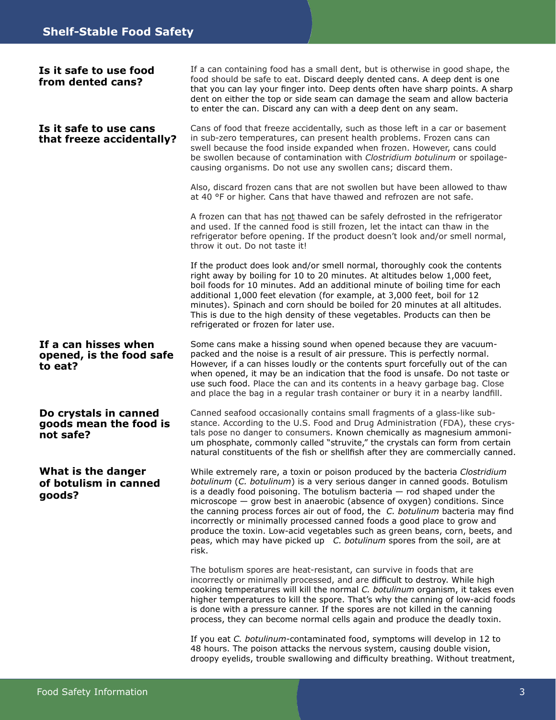#### **If a can hisses when opened, is the food safe to eat? Do crystals in canned goods mean the food is not safe? What is the danger of botulism in canned goods? Is it safe to use cans that freeze accidentally?** If a can containing food has a small dent, but is otherwise in good shape, the food should be safe to eat. Discard deeply dented cans. A deep dent is one that you can lay your finger into. Deep dents often have sharp points. A sharp dent on either the top or side seam can damage the seam and allow bacteria to enter the can. Discard any can with a deep dent on any seam. Cans of food that freeze accidentally, such as those left in a car or basement in sub-zero temperatures, can present health problems. Frozen cans can swell because the food inside expanded when frozen. However, cans could be swollen because of contamination with *Clostridium botulinum* or spoilagecausing organisms. Do not use any swollen cans; discard them. Also, discard frozen cans that are not swollen but have been allowed to thaw at 40 °F or higher. Cans that have thawed and refrozen are not safe. A frozen can that has not thawed can be safely defrosted in the refrigerator and used. If the canned food is still frozen, let the intact can thaw in the refrigerator before opening. If the product doesn't look and/or smell normal, throw it out. Do not taste it! If the product does look and/or smell normal, thoroughly cook the contents right away by boiling for 10 to 20 minutes. At altitudes below 1,000 feet, boil foods for 10 minutes. Add an additional minute of boiling time for each additional 1,000 feet elevation (for example, at 3,000 feet, boil for 12 minutes). Spinach and corn should be boiled for 20 minutes at all altitudes. This is due to the high density of these vegetables. Products can then be refrigerated or frozen for later use. Some cans make a hissing sound when opened because they are vacuumpacked and the noise is a result of air pressure. This is perfectly normal. However, if a can hisses loudly or the contents spurt forcefully out of the can when opened, it may be an indication that the food is unsafe. Do not taste or use such food. Place the can and its contents in a heavy garbage bag. Close and place the bag in a regular trash container or bury it in a nearby landfill. Canned seafood occasionally contains small fragments of a glass-like substance. According to the U.S. Food and Drug Administration (FDA), these crystals pose no danger to consumers. Known chemically as magnesium ammonium phosphate, commonly called "struvite," the crystals can form from certain natural constituents of the fish or shellfish after they are commercially canned. While extremely rare, a toxin or poison produced by the bacteria *Clostridium botulinum* (*C. botulinum*) is a very serious danger in canned goods. Botulism is a deadly food poisoning. The botulism bacteria — rod shaped under the microscope — grow best in anaerobic (absence of oxygen) conditions. Since the canning process forces air out of food, the *C. botulinum* bacteria may find incorrectly or minimally processed canned foods a good place to grow and produce the toxin. Low-acid vegetables such as green beans, corn, beets, and peas, which may have picked up *C. botulinum* spores from the soil, are at risk. The botulism spores are heat-resistant, can survive in foods that are incorrectly or minimally processed, and are difficult to destroy. While high cooking temperatures will kill the normal *C. botulinum* organism, it takes even higher temperatures to kill the spore. That's why the canning of low-acid foods is done with a pressure canner. If the spores are not killed in the canning process, they can become normal cells again and produce the deadly toxin. **Is it safe to use food from dented cans?**

If you eat *C. botulinum*-contaminated food, symptoms will develop in 12 to 48 hours. The poison attacks the nervous system, causing double vision, droopy eyelids, trouble swallowing and difficulty breathing. Without treatment,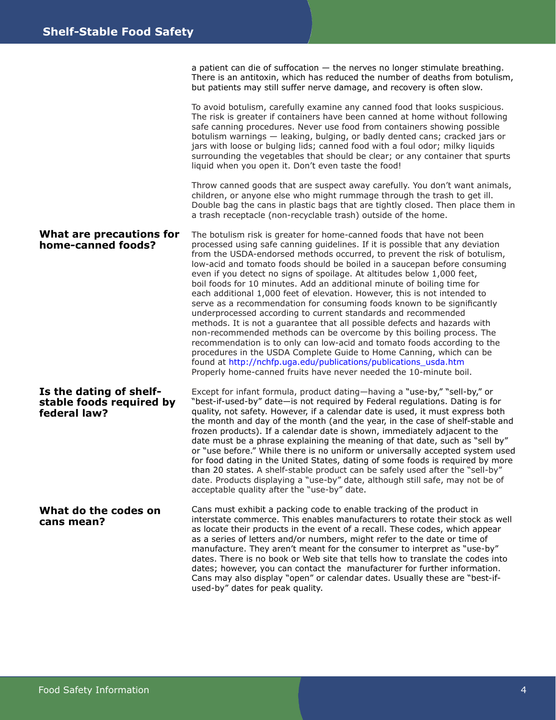a patient can die of suffocation — the nerves no longer stimulate breathing. There is an antitoxin, which has reduced the number of deaths from botulism, but patients may still suffer nerve damage, and recovery is often slow.

To avoid botulism, carefully examine any canned food that looks suspicious. The risk is greater if containers have been canned at home without following safe canning procedures. Never use food from containers showing possible botulism warnings — leaking, bulging, or badly dented cans; cracked jars or jars with loose or bulging lids; canned food with a foul odor; milky liquids surrounding the vegetables that should be clear; or any container that spurts liquid when you open it. Don't even taste the food!

Throw canned goods that are suspect away carefully. You don't want animals, children, or anyone else who might rummage through the trash to get ill. Double bag the cans in plastic bags that are tightly closed. Then place them in a trash receptacle (non-recyclable trash) outside of the home.

**What are precautions for home-canned foods? Is the dating of shelfstable foods required by federal law?**  The botulism risk is greater for home-canned foods that have not been processed using safe canning guidelines. If it is possible that any deviation from the USDA-endorsed methods occurred, to prevent the risk of botulism, low-acid and tomato foods should be boiled in a saucepan before consuming even if you detect no signs of spoilage. At altitudes below 1,000 feet, boil foods for 10 minutes. Add an additional minute of boiling time for each additional 1,000 feet of elevation. However, this is not intended to serve as a recommendation for consuming foods known to be significantly underprocessed according to current standards and recommended methods. It is not a guarantee that all possible defects and hazards with non-recommended methods can be overcome by this boiling process. The recommendation is to only can low-acid and tomato foods according to the procedures in the USDA Complete Guide to Home Canning, which can be found at [http://nchfp.uga.edu/publications/publications\\_usda.htm](http://nchfp.uga.edu/publications/publications_usda.html) Properly home-canned fruits have never needed the 10-minute boil. Except for infant formula, product dating—having a "use-by," "sell-by," or "best-if-used-by" date—is not required by Federal regulations. Dating is for

quality, not safety. However, if a calendar date is used, it must express both the month and day of the month (and the year, in the case of shelf-stable and frozen products). If a calendar date is shown, immediately adjacent to the date must be a phrase explaining the meaning of that date, such as "sell by" or "use before." While there is no uniform or universally accepted system used for food dating in the United States, dating of some foods is required by more than 20 states. A shelf-stable product can be safely used after the "sell-by" date. Products displaying a "use-by" date, although still safe, may not be of acceptable quality after the "use-by" date.

**What do the codes on cans mean?** Cans must exhibit a packing code to enable tracking of the product in interstate commerce. This enables manufacturers to rotate their stock as well as locate their products in the event of a recall. These codes, which appear as a series of letters and/or numbers, might refer to the date or time of manufacture. They aren't meant for the consumer to interpret as "use-by" dates. There is no book or Web site that tells how to translate the codes into dates; however, you can contact the manufacturer for further information. Cans may also display "open" or calendar dates. Usually these are "best-ifused-by" dates for peak quality.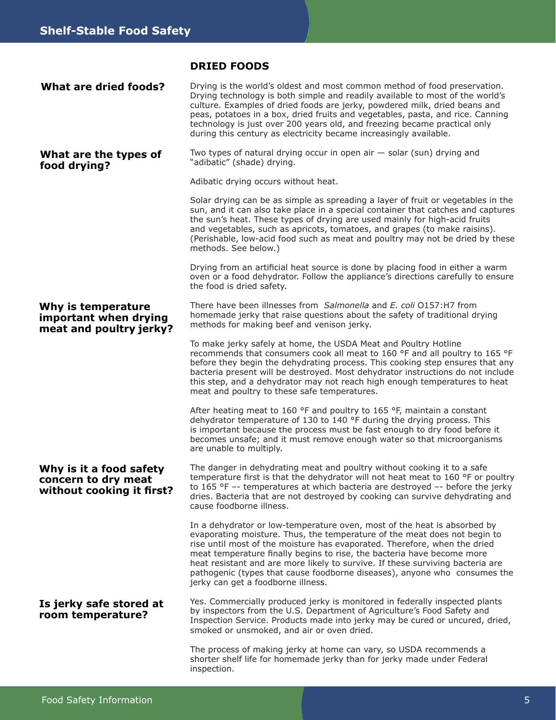#### **DRIED FOODS**

| <b>What are dried foods?</b>                                                | Drying is the world's oldest and most common method of food preservation.<br>Drying technology is both simple and readily available to most of the world's<br>culture. Examples of dried foods are jerky, powdered milk, dried beans and<br>peas, potatoes in a box, dried fruits and vegetables, pasta, and rice. Canning<br>technology is just over 200 years old, and freezing became practical only<br>during this century as electricity became increasingly available.                                      |
|-----------------------------------------------------------------------------|-------------------------------------------------------------------------------------------------------------------------------------------------------------------------------------------------------------------------------------------------------------------------------------------------------------------------------------------------------------------------------------------------------------------------------------------------------------------------------------------------------------------|
| What are the types of<br>food drying?                                       | Two types of natural drying occur in open air $-$ solar (sun) drying and<br>"adibatic" (shade) drying.                                                                                                                                                                                                                                                                                                                                                                                                            |
|                                                                             | Adibatic drying occurs without heat.                                                                                                                                                                                                                                                                                                                                                                                                                                                                              |
|                                                                             | Solar drying can be as simple as spreading a layer of fruit or vegetables in the<br>sun, and it can also take place in a special container that catches and captures<br>the sun's heat. These types of drying are used mainly for high-acid fruits<br>and vegetables, such as apricots, tomatoes, and grapes (to make raisins).<br>(Perishable, low-acid food such as meat and poultry may not be dried by these<br>methods. See below.)                                                                          |
|                                                                             | Drying from an artificial heat source is done by placing food in either a warm<br>oven or a food dehydrator. Follow the appliance's directions carefully to ensure<br>the food is dried safety.                                                                                                                                                                                                                                                                                                                   |
| Why is temperature<br>important when drying<br>meat and poultry jerky?      | There have been illnesses from Salmonella and E. coli 0157:H7 from<br>homemade jerky that raise questions about the safety of traditional drying<br>methods for making beef and venison jerky.                                                                                                                                                                                                                                                                                                                    |
|                                                                             | To make jerky safely at home, the USDA Meat and Poultry Hotline<br>recommends that consumers cook all meat to 160 °F and all poultry to 165 °F<br>before they begin the dehydrating process. This cooking step ensures that any<br>bacteria present will be destroyed. Most dehydrator instructions do not include<br>this step, and a dehydrator may not reach high enough temperatures to heat<br>meat and poultry to these safe temperatures.                                                                  |
|                                                                             | After heating meat to 160 °F and poultry to 165 °F, maintain a constant<br>dehydrator temperature of 130 to 140 °F during the drying process. This<br>is important because the process must be fast enough to dry food before it<br>becomes unsafe; and it must remove enough water so that microorganisms<br>are unable to multiply.                                                                                                                                                                             |
| Why is it a food safety<br>concern to dry meat<br>without cooking it first? | The danger in dehydrating meat and poultry without cooking it to a safe<br>temperature first is that the dehydrator will not heat meat to 160 °F or poultry<br>to $165$ °F -- temperatures at which bacteria are destroyed -- before the jerky<br>dries. Bacteria that are not destroyed by cooking can survive dehydrating and<br>cause foodborne illness.                                                                                                                                                       |
|                                                                             | In a dehydrator or low-temperature oven, most of the heat is absorbed by<br>evaporating moisture. Thus, the temperature of the meat does not begin to<br>rise until most of the moisture has evaporated. Therefore, when the dried<br>meat temperature finally begins to rise, the bacteria have become more<br>heat resistant and are more likely to survive. If these surviving bacteria are<br>pathogenic (types that cause foodborne diseases), anyone who consumes the<br>jerky can get a foodborne illness. |
| Is jerky safe stored at<br>room temperature?                                | Yes. Commercially produced jerky is monitored in federally inspected plants<br>by inspectors from the U.S. Department of Agriculture's Food Safety and<br>Inspection Service. Products made into jerky may be cured or uncured, dried,<br>smoked or unsmoked, and air or oven dried.                                                                                                                                                                                                                              |
|                                                                             | The process of making jerky at home can vary, so USDA recommends a<br>shorter shelf life for homemade jerky than for jerky made under Federal<br>inspection.                                                                                                                                                                                                                                                                                                                                                      |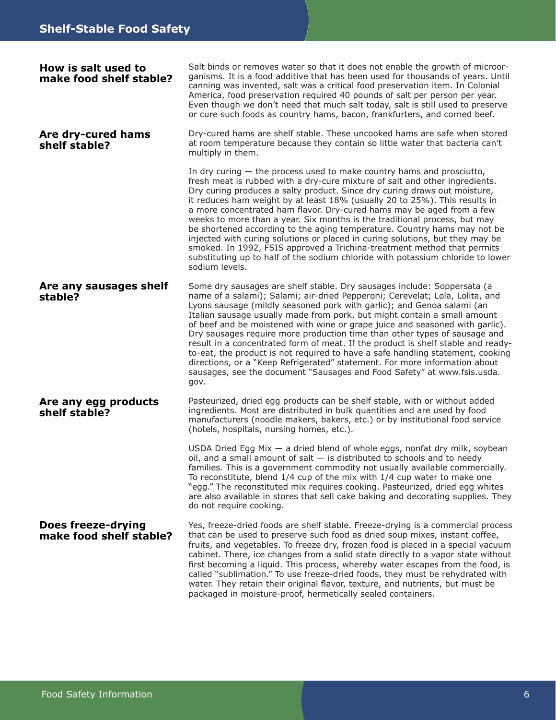| How is salt used to<br>make food shelf stable?       | Salt binds or removes water so that it does not enable the growth of microor-<br>ganisms. It is a food additive that has been used for thousands of years. Until<br>canning was invented, salt was a critical food preservation item. In Colonial<br>America, food preservation required 40 pounds of salt per person per year.<br>Even though we don't need that much salt today, salt is still used to preserve<br>or cure such foods as country hams, bacon, frankfurters, and corned beef.                                                                                                                                                                                                                                                                                                                       |
|------------------------------------------------------|----------------------------------------------------------------------------------------------------------------------------------------------------------------------------------------------------------------------------------------------------------------------------------------------------------------------------------------------------------------------------------------------------------------------------------------------------------------------------------------------------------------------------------------------------------------------------------------------------------------------------------------------------------------------------------------------------------------------------------------------------------------------------------------------------------------------|
| Are dry-cured hams<br>shelf stable?                  | Dry-cured hams are shelf stable. These uncooked hams are safe when stored<br>at room temperature because they contain so little water that bacteria can't<br>multiply in them.                                                                                                                                                                                                                                                                                                                                                                                                                                                                                                                                                                                                                                       |
|                                                      | In dry curing $-$ the process used to make country hams and prosciutto,<br>fresh meat is rubbed with a dry-cure mixture of salt and other ingredients.<br>Dry curing produces a salty product. Since dry curing draws out moisture,<br>it reduces ham weight by at least 18% (usually 20 to 25%). This results in<br>a more concentrated ham flavor. Dry-cured hams may be aged from a few<br>weeks to more than a year. Six months is the traditional process, but may<br>be shortened according to the aging temperature. Country hams may not be<br>injected with curing solutions or placed in curing solutions, but they may be<br>smoked. In 1992, FSIS approved a Trichina-treatment method that permits<br>substituting up to half of the sodium chloride with potassium chloride to lower<br>sodium levels. |
| Are any sausages shelf<br>stable?                    | Some dry sausages are shelf stable. Dry sausages include: Soppersata (a<br>name of a salami); Salami; air-dried Pepperoni; Cerevelat; Lola, Lolita, and<br>Lyons sausage (mildly seasoned pork with garlic); and Genoa salami (an<br>Italian sausage usually made from pork, but might contain a small amount<br>of beef and be moistened with wine or grape juice and seasoned with garlic).<br>Dry sausages require more production time than other types of sausage and<br>result in a concentrated form of meat. If the product is shelf stable and ready-<br>to-eat, the product is not required to have a safe handling statement, cooking<br>directions, or a "Keep Refrigerated" statement. For more information about<br>sausages, see the document "Sausages and Food Safety" at www.fsis.usda.<br>gov.    |
| Are any egg products<br>shelf stable?                | Pasteurized, dried egg products can be shelf stable, with or without added<br>ingredients. Most are distributed in bulk quantities and are used by food<br>manufacturers (noodle makers, bakers, etc.) or by institutional food service<br>(hotels, hospitals, nursing homes, etc.).                                                                                                                                                                                                                                                                                                                                                                                                                                                                                                                                 |
|                                                      | USDA Dried Egg Mix - a dried blend of whole eggs, nonfat dry milk, soybean<br>oil, and a small amount of salt $-$ is distributed to schools and to needy<br>families. This is a government commodity not usually available commercially.<br>To reconstitute, blend 1/4 cup of the mix with 1/4 cup water to make one<br>"egg." The reconstituted mix requires cooking. Pasteurized, dried egg whites<br>are also available in stores that sell cake baking and decorating supplies. They<br>do not require cooking.                                                                                                                                                                                                                                                                                                  |
| <b>Does freeze-drying</b><br>make food shelf stable? | Yes, freeze-dried foods are shelf stable. Freeze-drying is a commercial process<br>that can be used to preserve such food as dried soup mixes, instant coffee,<br>fruits, and vegetables. To freeze dry, frozen food is placed in a special vacuum<br>cabinet. There, ice changes from a solid state directly to a vapor state without<br>first becoming a liquid. This process, whereby water escapes from the food, is<br>called "sublimation." To use freeze-dried foods, they must be rehydrated with<br>water. They retain their original flavor, texture, and nutrients, but must be<br>packaged in moisture-proof, hermetically sealed containers.                                                                                                                                                            |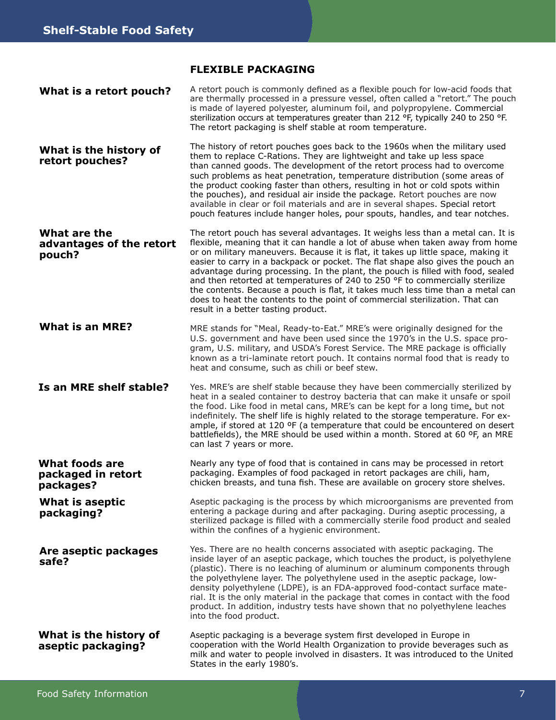#### **FLEXIBLE PACKAGING**

| What is a retort pouch?                                  | A retort pouch is commonly defined as a flexible pouch for low-acid foods that<br>are thermally processed in a pressure vessel, often called a "retort." The pouch<br>is made of layered polyester, aluminum foil, and polypropylene. Commercial<br>sterilization occurs at temperatures greater than 212 °F, typically 240 to 250 °F.<br>The retort packaging is shelf stable at room temperature.                                                                                                                                                                                                                                                                                                                    |
|----------------------------------------------------------|------------------------------------------------------------------------------------------------------------------------------------------------------------------------------------------------------------------------------------------------------------------------------------------------------------------------------------------------------------------------------------------------------------------------------------------------------------------------------------------------------------------------------------------------------------------------------------------------------------------------------------------------------------------------------------------------------------------------|
| What is the history of<br>retort pouches?                | The history of retort pouches goes back to the 1960s when the military used<br>them to replace C-Rations. They are lightweight and take up less space<br>than canned goods. The development of the retort process had to overcome<br>such problems as heat penetration, temperature distribution (some areas of<br>the product cooking faster than others, resulting in hot or cold spots within<br>the pouches), and residual air inside the package. Retort pouches are now<br>available in clear or foil materials and are in several shapes. Special retort<br>pouch features include hanger holes, pour spouts, handles, and tear notches.                                                                        |
| What are the<br>advantages of the retort<br>pouch?       | The retort pouch has several advantages. It weighs less than a metal can. It is<br>flexible, meaning that it can handle a lot of abuse when taken away from home<br>or on military maneuvers. Because it is flat, it takes up little space, making it<br>easier to carry in a backpack or pocket. The flat shape also gives the pouch an<br>advantage during processing. In the plant, the pouch is filled with food, sealed<br>and then retorted at temperatures of 240 to 250 °F to commercially sterilize<br>the contents. Because a pouch is flat, it takes much less time than a metal can<br>does to heat the contents to the point of commercial sterilization. That can<br>result in a better tasting product. |
| <b>What is an MRE?</b>                                   | MRE stands for "Meal, Ready-to-Eat." MRE's were originally designed for the<br>U.S. government and have been used since the 1970's in the U.S. space pro-<br>gram, U.S. military, and USDA's Forest Service. The MRE package is officially<br>known as a tri-laminate retort pouch. It contains normal food that is ready to<br>heat and consume, such as chili or beef stew.                                                                                                                                                                                                                                                                                                                                          |
| Is an MRE shelf stable?                                  | Yes. MRE's are shelf stable because they have been commercially sterilized by<br>heat in a sealed container to destroy bacteria that can make it unsafe or spoil<br>the food. Like food in metal cans, MRE's can be kept for a long time, but not<br>indefinitely. The shelf life is highly related to the storage temperature. For ex-<br>ample, if stored at 120 °F (a temperature that could be encountered on desert<br>battlefields), the MRE should be used within a month. Stored at 60 ºF, an MRE<br>can last 7 years or more.                                                                                                                                                                                 |
| <b>What foods are</b><br>packaged in retort<br>packages? | Nearly any type of food that is contained in cans may be processed in retort<br>packaging. Examples of food packaged in retort packages are chili, ham,<br>chicken breasts, and tuna fish. These are available on grocery store shelves.                                                                                                                                                                                                                                                                                                                                                                                                                                                                               |
| What is aseptic<br>packaging?                            | Aseptic packaging is the process by which microorganisms are prevented from<br>entering a package during and after packaging. During aseptic processing, a<br>sterilized package is filled with a commercially sterile food product and sealed<br>within the confines of a hygienic environment.                                                                                                                                                                                                                                                                                                                                                                                                                       |
| Are aseptic packages<br>safe?                            | Yes. There are no health concerns associated with aseptic packaging. The<br>inside layer of an aseptic package, which touches the product, is polyethylene<br>(plastic). There is no leaching of aluminum or aluminum components through<br>the polyethylene layer. The polyethylene used in the aseptic package, low-<br>density polyethylene (LDPE), is an FDA-approved food-contact surface mate-<br>rial. It is the only material in the package that comes in contact with the food<br>product. In addition, industry tests have shown that no polyethylene leaches<br>into the food product.                                                                                                                     |
| What is the history of<br>aseptic packaging?             | Aseptic packaging is a beverage system first developed in Europe in<br>cooperation with the World Health Organization to provide beverages such as<br>milk and water to people involved in disasters. It was introduced to the United<br>States in the early 1980's.                                                                                                                                                                                                                                                                                                                                                                                                                                                   |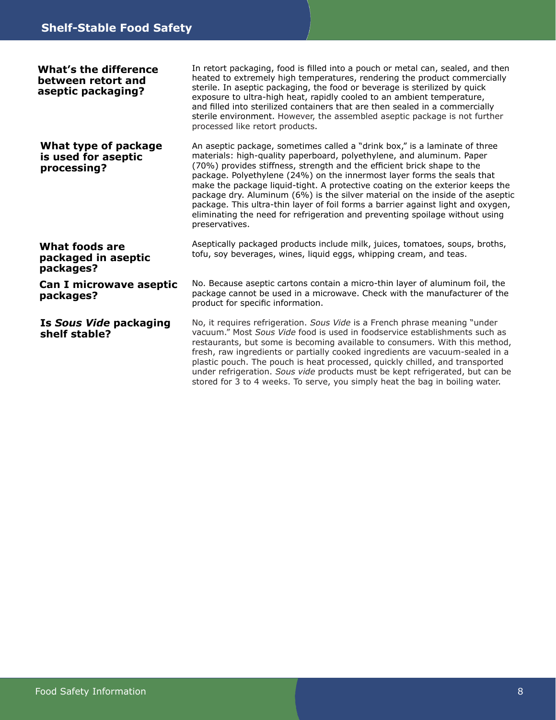| What's the difference<br>between retort and<br>aseptic packaging? | In retort packaging, food is filled into a pouch or metal can, sealed, and then<br>heated to extremely high temperatures, rendering the product commercially<br>sterile. In aseptic packaging, the food or beverage is sterilized by quick<br>exposure to ultra-high heat, rapidly cooled to an ambient temperature,<br>and filled into sterilized containers that are then sealed in a commercially<br>sterile environment. However, the assembled aseptic package is not further<br>processed like retort products.                                                                                                                                              |
|-------------------------------------------------------------------|--------------------------------------------------------------------------------------------------------------------------------------------------------------------------------------------------------------------------------------------------------------------------------------------------------------------------------------------------------------------------------------------------------------------------------------------------------------------------------------------------------------------------------------------------------------------------------------------------------------------------------------------------------------------|
| What type of package<br>is used for aseptic<br>processing?        | An aseptic package, sometimes called a "drink box," is a laminate of three<br>materials: high-quality paperboard, polyethylene, and aluminum. Paper<br>(70%) provides stiffness, strength and the efficient brick shape to the<br>package. Polyethylene (24%) on the innermost layer forms the seals that<br>make the package liquid-tight. A protective coating on the exterior keeps the<br>package dry. Aluminum (6%) is the silver material on the inside of the aseptic<br>package. This ultra-thin layer of foil forms a barrier against light and oxygen,<br>eliminating the need for refrigeration and preventing spoilage without using<br>preservatives. |
| What foods are<br>packaged in aseptic<br>packages?                | Aseptically packaged products include milk, juices, tomatoes, soups, broths,<br>tofu, soy beverages, wines, liquid eggs, whipping cream, and teas.                                                                                                                                                                                                                                                                                                                                                                                                                                                                                                                 |
| Can I microwave aseptic<br>packages?                              | No. Because aseptic cartons contain a micro-thin layer of aluminum foil, the<br>package cannot be used in a microwave. Check with the manufacturer of the<br>product for specific information.                                                                                                                                                                                                                                                                                                                                                                                                                                                                     |
| Is Sous Vide packaging<br>shelf stable?                           | No, it requires refrigeration. Sous Vide is a French phrase meaning "under<br>vacuum." Most Sous Vide food is used in foodservice establishments such as<br>restaurants, but some is becoming available to consumers. With this method,<br>fresh, raw ingredients or partially cooked ingredients are vacuum-sealed in a<br>plastic pouch. The pouch is heat processed, quickly chilled, and transported<br>under refrigeration. Sous vide products must be kept refrigerated, but can be                                                                                                                                                                          |

stored for 3 to 4 weeks. To serve, you simply heat the bag in boiling water.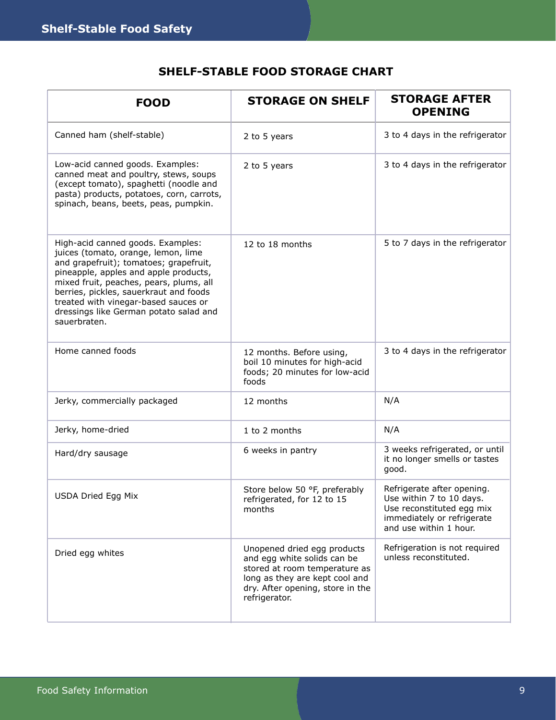### **SHELF-STABLE FOOD STORAGE CHART**

| <b>FOOD</b>                                                                                                                                                                                                                                                                                                                                        | <b>STORAGE ON SHELF</b>                                                                                                                                                            | <b>STORAGE AFTER</b><br><b>OPENING</b>                                                                                                      |
|----------------------------------------------------------------------------------------------------------------------------------------------------------------------------------------------------------------------------------------------------------------------------------------------------------------------------------------------------|------------------------------------------------------------------------------------------------------------------------------------------------------------------------------------|---------------------------------------------------------------------------------------------------------------------------------------------|
| Canned ham (shelf-stable)                                                                                                                                                                                                                                                                                                                          | 2 to 5 years                                                                                                                                                                       | 3 to 4 days in the refrigerator                                                                                                             |
| Low-acid canned goods. Examples:<br>canned meat and poultry, stews, soups<br>(except tomato), spaghetti (noodle and<br>pasta) products, potatoes, corn, carrots,<br>spinach, beans, beets, peas, pumpkin.                                                                                                                                          | 2 to 5 years                                                                                                                                                                       | 3 to 4 days in the refrigerator                                                                                                             |
| High-acid canned goods. Examples:<br>juices (tomato, orange, lemon, lime<br>and grapefruit); tomatoes; grapefruit,<br>pineapple, apples and apple products,<br>mixed fruit, peaches, pears, plums, all<br>berries, pickles, sauerkraut and foods<br>treated with vinegar-based sauces or<br>dressings like German potato salad and<br>sauerbraten. | 12 to 18 months                                                                                                                                                                    | 5 to 7 days in the refrigerator                                                                                                             |
| Home canned foods                                                                                                                                                                                                                                                                                                                                  | 12 months. Before using,<br>boil 10 minutes for high-acid<br>foods; 20 minutes for low-acid<br>foods                                                                               | 3 to 4 days in the refrigerator                                                                                                             |
| Jerky, commercially packaged                                                                                                                                                                                                                                                                                                                       | 12 months                                                                                                                                                                          | N/A                                                                                                                                         |
| Jerky, home-dried                                                                                                                                                                                                                                                                                                                                  | 1 to 2 months                                                                                                                                                                      | N/A                                                                                                                                         |
| Hard/dry sausage                                                                                                                                                                                                                                                                                                                                   | 6 weeks in pantry                                                                                                                                                                  | 3 weeks refrigerated, or until<br>it no longer smells or tastes<br>good.                                                                    |
| USDA Dried Egg Mix                                                                                                                                                                                                                                                                                                                                 | Store below 50 °F, preferably<br>refrigerated, for 12 to 15<br>months                                                                                                              | Refrigerate after opening.<br>Use within 7 to 10 days.<br>Use reconstituted egg mix<br>immediately or refrigerate<br>and use within 1 hour. |
| Dried egg whites                                                                                                                                                                                                                                                                                                                                   | Unopened dried egg products<br>and egg white solids can be<br>stored at room temperature as<br>long as they are kept cool and<br>dry. After opening, store in the<br>refrigerator. | Refrigeration is not required<br>unless reconstituted.                                                                                      |